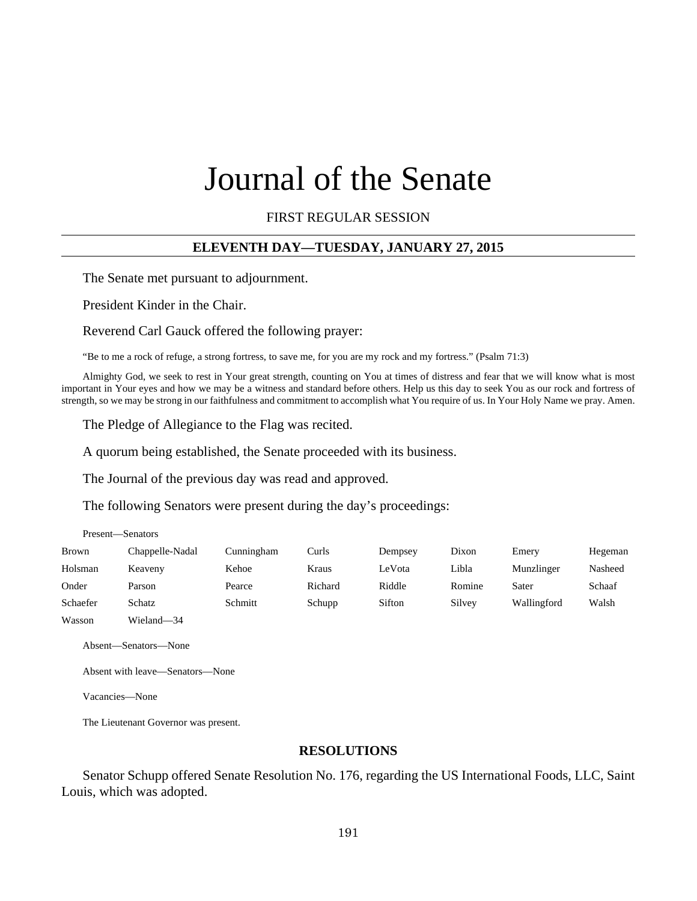# Journal of the Senate

FIRST REGULAR SESSION

## **ELEVENTH DAY—TUESDAY, JANUARY 27, 2015**

The Senate met pursuant to adjournment.

President Kinder in the Chair.

Reverend Carl Gauck offered the following prayer:

"Be to me a rock of refuge, a strong fortress, to save me, for you are my rock and my fortress." (Psalm 71:3)

Almighty God, we seek to rest in Your great strength, counting on You at times of distress and fear that we will know what is most important in Your eyes and how we may be a witness and standard before others. Help us this day to seek You as our rock and fortress of strength, so we may be strong in our faithfulness and commitment to accomplish what You require of us. In Your Holy Name we pray. Amen.

The Pledge of Allegiance to the Flag was recited.

A quorum being established, the Senate proceeded with its business.

The Journal of the previous day was read and approved.

The following Senators were present during the day's proceedings:

Present—Senators

| Brown    | Chappelle-Nadal | Cunningham | Curls   | Dempsey | Dixon  | Emery       | Hegeman |
|----------|-----------------|------------|---------|---------|--------|-------------|---------|
| Holsman  | Keaveny         | Kehoe      | Kraus   | LeVota  | Libla  | Munzlinger  | Nasheed |
| Onder    | Parson          | Pearce     | Richard | Riddle  | Romine | Sater       | Schaaf  |
| Schaefer | Schatz          | Schmitt    | Schupp  | Sifton  | Silvey | Wallingford | Walsh   |
| Wasson   | Wieland-34      |            |         |         |        |             |         |

Absent—Senators—None

Absent with leave—Senators—None

Vacancies—None

The Lieutenant Governor was present.

#### **RESOLUTIONS**

Senator Schupp offered Senate Resolution No. 176, regarding the US International Foods, LLC, Saint Louis, which was adopted.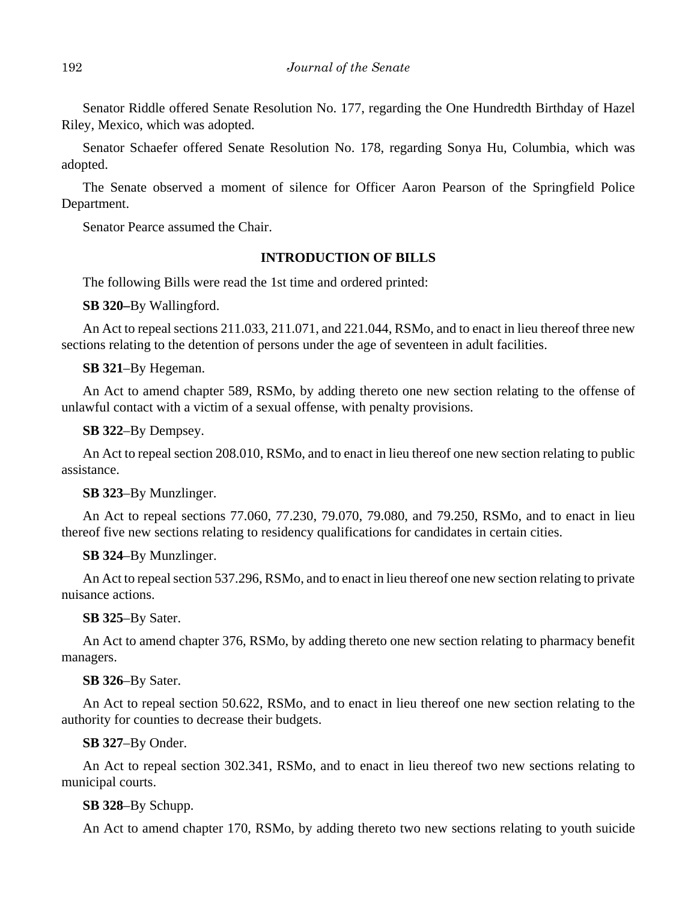Senator Riddle offered Senate Resolution No. 177, regarding the One Hundredth Birthday of Hazel Riley, Mexico, which was adopted.

Senator Schaefer offered Senate Resolution No. 178, regarding Sonya Hu, Columbia, which was adopted.

The Senate observed a moment of silence for Officer Aaron Pearson of the Springfield Police Department.

Senator Pearce assumed the Chair.

# **INTRODUCTION OF BILLS**

The following Bills were read the 1st time and ordered printed:

**SB 320–**By Wallingford.

An Act to repeal sections 211.033, 211.071, and 221.044, RSMo, and to enact in lieu thereof three new sections relating to the detention of persons under the age of seventeen in adult facilities.

## **SB 321**–By Hegeman.

An Act to amend chapter 589, RSMo, by adding thereto one new section relating to the offense of unlawful contact with a victim of a sexual offense, with penalty provisions.

## **SB 322**–By Dempsey.

An Act to repeal section 208.010, RSMo, and to enact in lieu thereof one new section relating to public assistance.

## **SB 323**–By Munzlinger.

An Act to repeal sections 77.060, 77.230, 79.070, 79.080, and 79.250, RSMo, and to enact in lieu thereof five new sections relating to residency qualifications for candidates in certain cities.

# **SB 324**–By Munzlinger.

An Act to repeal section 537.296, RSMo, and to enact in lieu thereof one new section relating to private nuisance actions.

## **SB 325**–By Sater.

An Act to amend chapter 376, RSMo, by adding thereto one new section relating to pharmacy benefit managers.

## **SB 326**–By Sater.

An Act to repeal section 50.622, RSMo, and to enact in lieu thereof one new section relating to the authority for counties to decrease their budgets.

## **SB 327**–By Onder.

An Act to repeal section 302.341, RSMo, and to enact in lieu thereof two new sections relating to municipal courts.

# **SB 328**–By Schupp.

An Act to amend chapter 170, RSMo, by adding thereto two new sections relating to youth suicide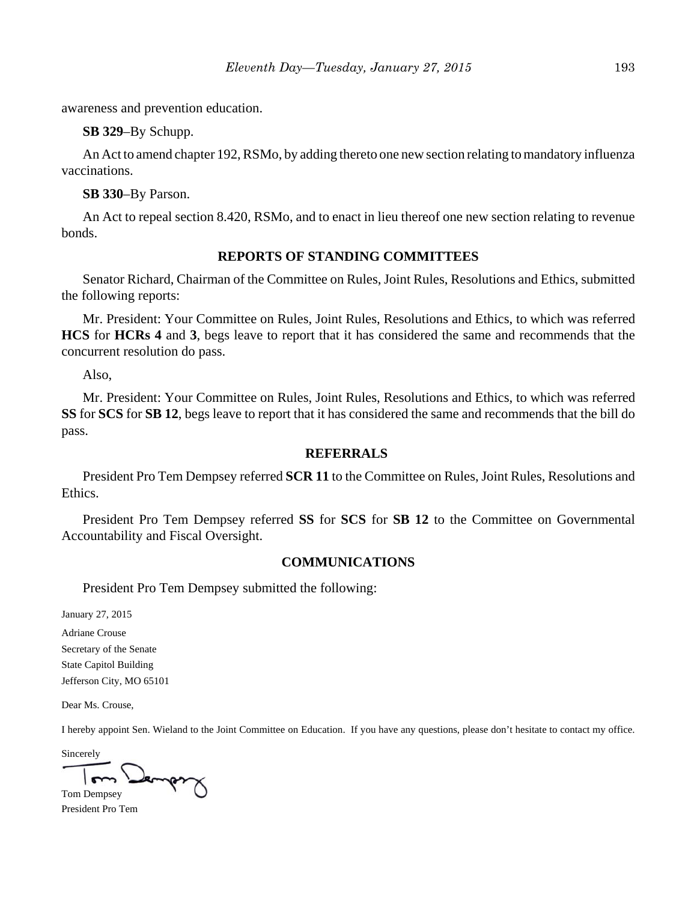awareness and prevention education.

**SB 329**–By Schupp.

An Act to amend chapter 192, RSMo, by adding thereto one new section relating to mandatory influenza vaccinations.

**SB 330**–By Parson.

An Act to repeal section 8.420, RSMo, and to enact in lieu thereof one new section relating to revenue bonds.

## **REPORTS OF STANDING COMMITTEES**

Senator Richard, Chairman of the Committee on Rules, Joint Rules, Resolutions and Ethics, submitted the following reports:

Mr. President: Your Committee on Rules, Joint Rules, Resolutions and Ethics, to which was referred **HCS** for **HCRs 4** and **3**, begs leave to report that it has considered the same and recommends that the concurrent resolution do pass.

Also,

Mr. President: Your Committee on Rules, Joint Rules, Resolutions and Ethics, to which was referred **SS** for **SCS** for **SB 12**, begs leave to report that it has considered the same and recommends that the bill do pass.

#### **REFERRALS**

President Pro Tem Dempsey referred **SCR 11** to the Committee on Rules, Joint Rules, Resolutions and Ethics.

President Pro Tem Dempsey referred **SS** for **SCS** for **SB 12** to the Committee on Governmental Accountability and Fiscal Oversight.

#### **COMMUNICATIONS**

President Pro Tem Dempsey submitted the following:

January 27, 2015

Adriane Crouse Secretary of the Senate State Capitol Building Jefferson City, MO 65101

Dear Ms. Crouse,

I hereby appoint Sen. Wieland to the Joint Committee on Education. If you have any questions, please don't hesitate to contact my office.

Sincerely Jember

Tom Dempsey President Pro Tem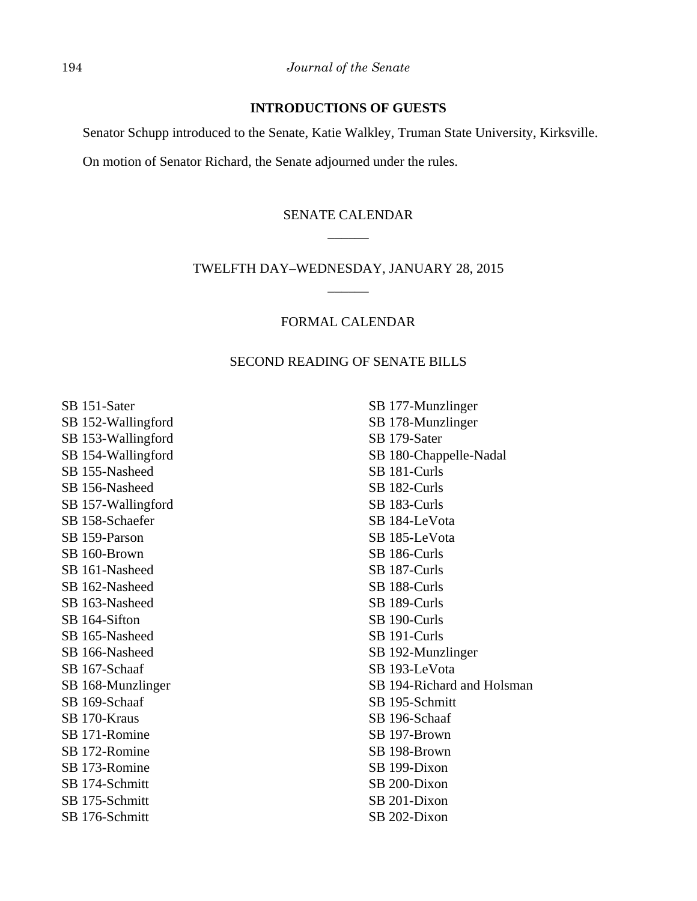## **INTRODUCTIONS OF GUESTS**

Senator Schupp introduced to the Senate, Katie Walkley, Truman State University, Kirksville.

On motion of Senator Richard, the Senate adjourned under the rules.

# SENATE CALENDAR \_\_\_\_\_\_

# TWELFTH DAY–WEDNESDAY, JANUARY 28, 2015 \_\_\_\_\_\_

## FORMAL CALENDAR

## SECOND READING OF SENATE BILLS

SB 151-Sater SB 152-Wallingford SB 153-Wallingford SB 154-Wallingford SB 155-Nasheed SB 156-Nasheed SB 157-Wallingford SB 158-Schaefer SB 159-Parson SB 160-Brown SB 161-Nasheed SB 162-Nasheed SB 163-Nasheed SB 164-Sifton SB 165-Nasheed SB 166-Nasheed SB 167-Schaaf SB 168-Munzlinger SB 169-Schaaf SB 170-Kraus SB 171-Romine SB 172-Romine SB 173-Romine SB 174-Schmitt SB 175-Schmitt SB 176-Schmitt

SB 177-Munzlinger SB 178-Munzlinger SB 179-Sater SB 180-Chappelle-Nadal SB 181-Curls SB 182-Curls SB 183-Curls SB 184-LeVota SB 185-LeVota SB 186-Curls SB 187-Curls SB 188-Curls SB 189-Curls SB 190-Curls SB 191-Curls SB 192-Munzlinger SB 193-LeVota SB 194-Richard and Holsman SB 195-Schmitt SB 196-Schaaf SB 197-Brown SB 198-Brown SB 199-Dixon SB 200-Dixon SB 201-Dixon SB 202-Dixon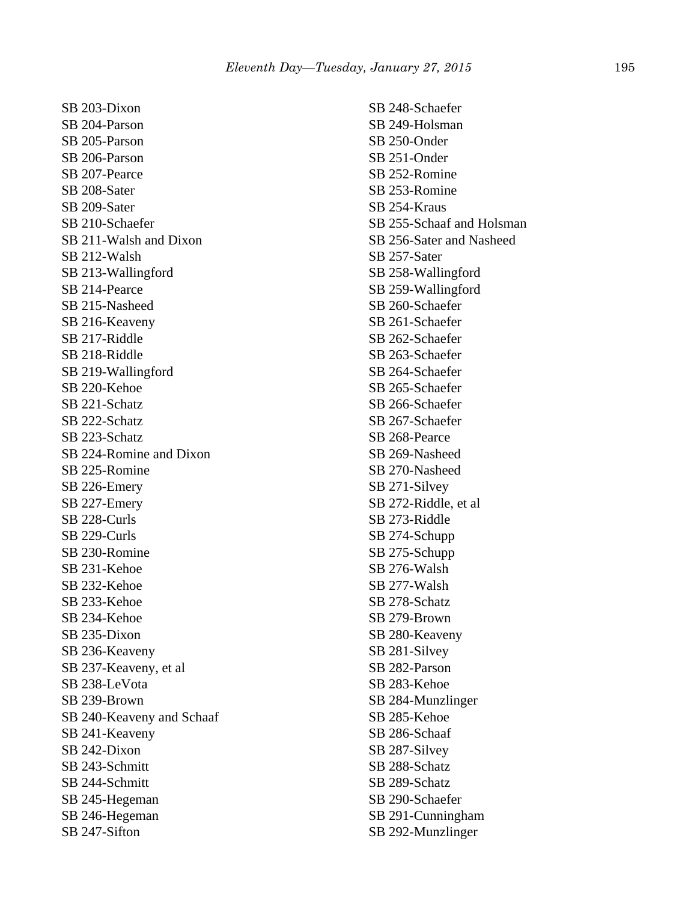SB 203-Dixon SB 204-Parson SB 205-Parson SB 206-Parson SB 207-Pearce SB 208-Sater SB 209-Sater SB 210-Schaefer SB 211-Walsh and Dixon SB 212-Walsh SB 213-Wallingford SB 214-Pearce SB 215-Nasheed SB 216-Keaveny SB 217-Riddle SB 218-Riddle SB 219-Wallingford SB 220-Kehoe SB 221-Schatz SB 222-Schatz SB 223-Schatz SB 224-Romine and Dixon SB 225-Romine SB 226-Emery SB 227-Emery SB 228-Curls SB 229-Curls SB 230-Romine SB 231-Kehoe SB 232-Kehoe SB 233-Kehoe SB 234-Kehoe SB 235-Dixon SB 236-Keaveny SB 237-Keaveny, et al SB 238-LeVota SB 239-Brown SB 240-Keaveny and Schaaf SB 241-Keaveny SB 242-Dixon SB 243-Schmitt SB 244-Schmitt SB 245-Hegeman SB 246-Hegeman SB 247-Sifton

SB 248-Schaefer SB 249-Holsman SB 250-Onder SB 251-Onder SB 252-Romine SB 253-Romine SB 254-Kraus SB 255-Schaaf and Holsman SB 256-Sater and Nasheed SB 257-Sater SB 258-Wallingford SB 259-Wallingford SB 260-Schaefer SB 261-Schaefer SB 262-Schaefer SB 263-Schaefer SB 264-Schaefer SB 265-Schaefer SB 266-Schaefer SB 267-Schaefer SB 268-Pearce SB 269-Nasheed SB 270-Nasheed SB 271-Silvey SB 272-Riddle, et al SB 273-Riddle SB 274-Schupp SB 275-Schupp SB 276-Walsh SB 277-Walsh SB 278-Schatz SB 279-Brown SB 280-Keaveny SB 281-Silvey SB 282-Parson SB 283-Kehoe SB 284-Munzlinger SB 285-Kehoe SB 286-Schaaf SB 287-Silvey SB 288-Schatz SB 289-Schatz SB 290-Schaefer SB 291-Cunningham SB 292-Munzlinger